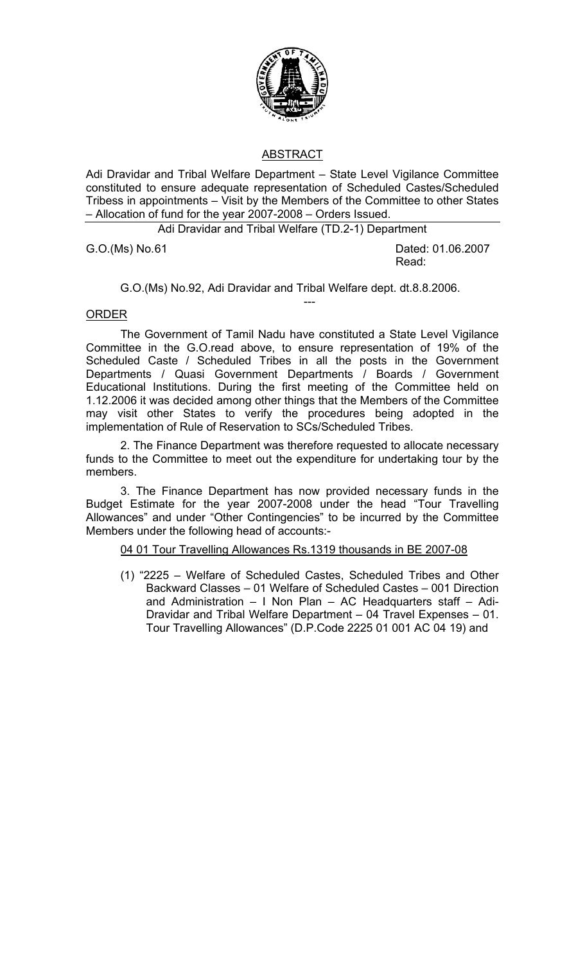

## ABSTRACT

Adi Dravidar and Tribal Welfare Department – State Level Vigilance Committee constituted to ensure adequate representation of Scheduled Castes/Scheduled Tribess in appointments – Visit by the Members of the Committee to other States – Allocation of fund for the year 2007-2008 – Orders Issued.

Adi Dravidar and Tribal Welfare (TD.2-1) Department

G.O.(Ms) No. 61 Dated: 01.06.2007 Read:

G.O.(Ms) No.92, Adi Dravidar and Tribal Welfare dept. dt.8.8.2006.

---

## ORDER

The Government of Tamil Nadu have constituted a State Level Vigilance Committee in the G.O.read above, to ensure representation of 19% of the Scheduled Caste / Scheduled Tribes in all the posts in the Government Departments / Quasi Government Departments / Boards / Government Educational Institutions. During the first meeting of the Committee held on 1.12.2006 it was decided among other things that the Members of the Committee may visit other States to verify the procedures being adopted in the implementation of Rule of Reservation to SCs/Scheduled Tribes.

2. The Finance Department was therefore requested to allocate necessary funds to the Committee to meet out the expenditure for undertaking tour by the members.

3. The Finance Department has now provided necessary funds in the Budget Estimate for the year 2007-2008 under the head "Tour Travelling Allowances" and under "Other Contingencies" to be incurred by the Committee Members under the following head of accounts:-

04 01 Tour Travelling Allowances Rs.1319 thousands in BE 2007-08

(1) "2225 – Welfare of Scheduled Castes, Scheduled Tribes and Other Backward Classes – 01 Welfare of Scheduled Castes – 001 Direction and Administration – I Non Plan – AC Headquarters staff – Adi-Dravidar and Tribal Welfare Department – 04 Travel Expenses – 01. Tour Travelling Allowances" (D.P.Code 2225 01 001 AC 04 19) and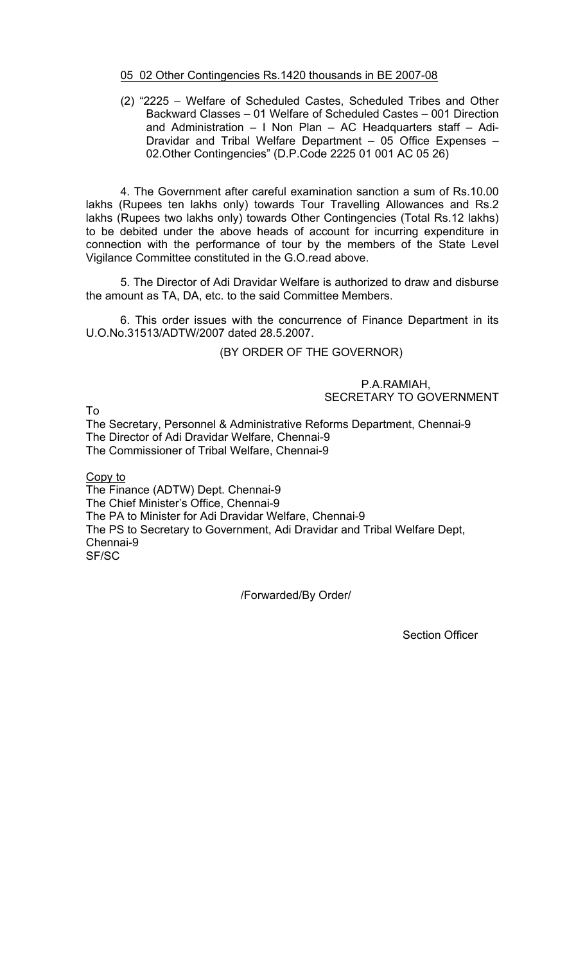## 05 02 Other Contingencies Rs.1420 thousands in BE 2007-08

(2) "2225 – Welfare of Scheduled Castes, Scheduled Tribes and Other Backward Classes – 01 Welfare of Scheduled Castes – 001 Direction and Administration – I Non Plan – AC Headquarters staff – Adi-Dravidar and Tribal Welfare Department – 05 Office Expenses – 02.Other Contingencies" (D.P.Code 2225 01 001 AC 05 26)

 4. The Government after careful examination sanction a sum of Rs.10.00 lakhs (Rupees ten lakhs only) towards Tour Travelling Allowances and Rs.2 lakhs (Rupees two lakhs only) towards Other Contingencies (Total Rs.12 lakhs) to be debited under the above heads of account for incurring expenditure in connection with the performance of tour by the members of the State Level Vigilance Committee constituted in the G.O.read above.

 5. The Director of Adi Dravidar Welfare is authorized to draw and disburse the amount as TA, DA, etc. to the said Committee Members.

 6. This order issues with the concurrence of Finance Department in its U.O.No.31513/ADTW/2007 dated 28.5.2007.

(BY ORDER OF THE GOVERNOR)

P.A.RAMIAH, SECRETARY TO GOVERNMENT

To

The Secretary, Personnel & Administrative Reforms Department, Chennai-9 The Director of Adi Dravidar Welfare, Chennai-9 The Commissioner of Tribal Welfare, Chennai-9

Copy to

The Finance (ADTW) Dept. Chennai-9 The Chief Minister's Office, Chennai-9 The PA to Minister for Adi Dravidar Welfare, Chennai-9 The PS to Secretary to Government, Adi Dravidar and Tribal Welfare Dept, Chennai-9 SF/SC

/Forwarded/By Order/

Section Officer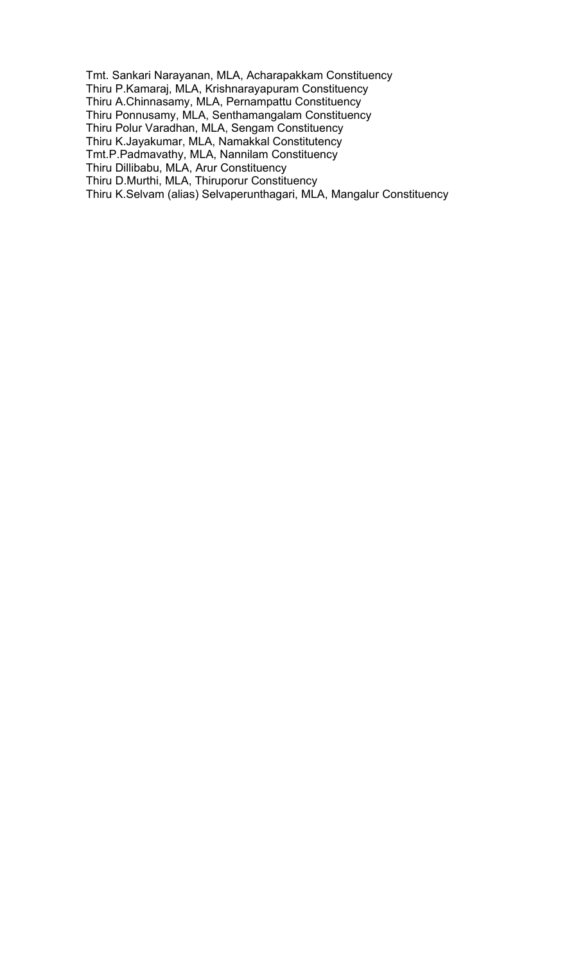Tmt. Sankari Narayanan, MLA, Acharapakkam Constituency Thiru P.Kamaraj, MLA, Krishnarayapuram Constituency Thiru A.Chinnasamy, MLA, Pernampattu Constituency Thiru Ponnusamy, MLA, Senthamangalam Constituency Thiru Polur Varadhan, MLA, Sengam Constituency Thiru K.Jayakumar, MLA, Namakkal Constitutency Tmt.P.Padmavathy, MLA, Nannilam Constituency Thiru Dillibabu, MLA, Arur Constituency Thiru D.Murthi, MLA, Thiruporur Constituency Thiru K.Selvam (alias) Selvaperunthagari, MLA, Mangalur Constituency